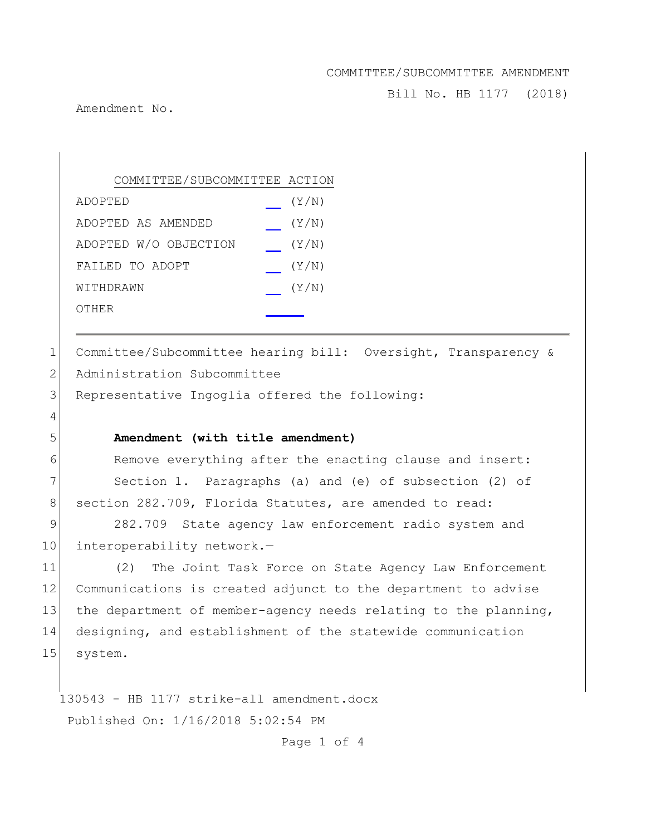Bill No. HB 1177 (2018)

Amendment No.

4

COMMITTEE/SUBCOMMITTEE ACTION ADOPTED (Y/N) ADOPTED AS AMENDED (Y/N) ADOPTED W/O OBJECTION (Y/N) FAILED TO ADOPT  $(Y/N)$ WITHDRAWN  $(Y/N)$ OTHER

1 Committee/Subcommittee hearing bill: Oversight, Transparency & 2 Administration Subcommittee

3 Representative Ingoglia offered the following:

### 5 **Amendment (with title amendment)**

6 Remove everything after the enacting clause and insert: 7 Section 1. Paragraphs (a) and (e) of subsection (2) of 8 section 282.709, Florida Statutes, are amended to read:

9 282.709 State agency law enforcement radio system and 10 interoperability network.-

11 (2) The Joint Task Force on State Agency Law Enforcement 12 Communications is created adjunct to the department to advise 13 the department of member-agency needs relating to the planning, 14 designing, and establishment of the statewide communication 15 system.

130543 - HB 1177 strike-all amendment.docx Published On: 1/16/2018 5:02:54 PM

Page 1 of 4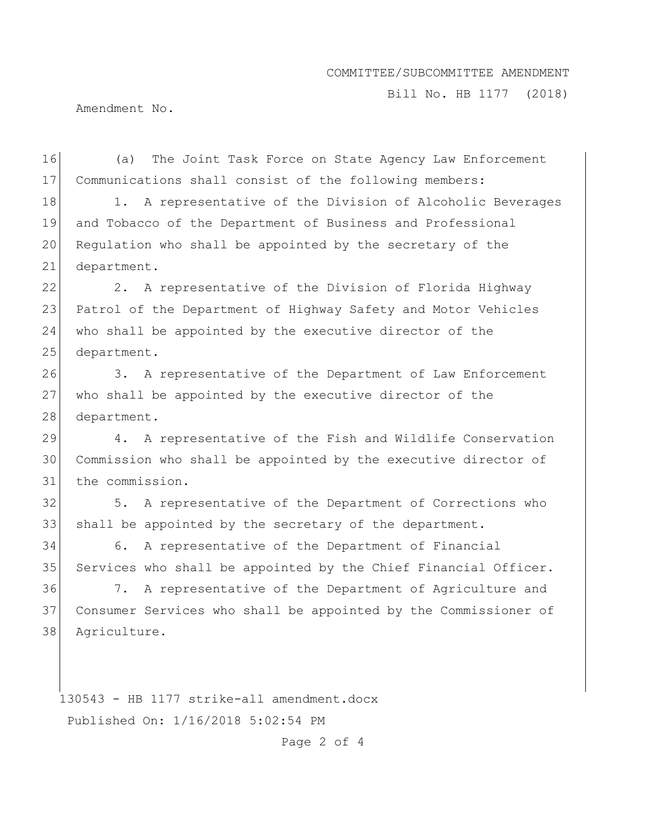Bill No. HB 1177 (2018)

Amendment No.

16 (a) The Joint Task Force on State Agency Law Enforcement 17 Communications shall consist of the following members:

18 1. A representative of the Division of Alcoholic Beverages 19 and Tobacco of the Department of Business and Professional 20 Regulation who shall be appointed by the secretary of the 21 department.

22 2. A representative of the Division of Florida Highway 23 Patrol of the Department of Highway Safety and Motor Vehicles 24 who shall be appointed by the executive director of the 25 department.

26 3. A representative of the Department of Law Enforcement 27 who shall be appointed by the executive director of the 28 department.

29 4. A representative of the Fish and Wildlife Conservation 30 Commission who shall be appointed by the executive director of 31 the commission.

32 5. A representative of the Department of Corrections who 33 shall be appointed by the secretary of the department.

34 6. A representative of the Department of Financial 35 Services who shall be appointed by the Chief Financial Officer.

36 7. A representative of the Department of Agriculture and 37 Consumer Services who shall be appointed by the Commissioner of 38 Agriculture.

130543 - HB 1177 strike-all amendment.docx Published On: 1/16/2018 5:02:54 PM

Page 2 of 4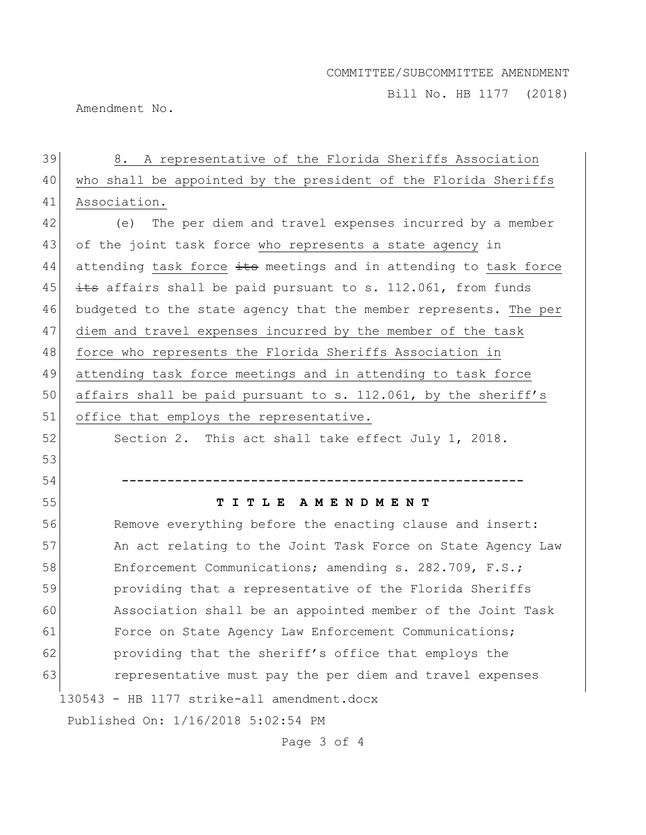Bill No. HB 1177 (2018)

Amendment No.

# 130543 - HB 1177 strike-all amendment.docx Published On: 1/16/2018 5:02:54 PM 39 8. A representative of the Florida Sheriffs Association 40 who shall be appointed by the president of the Florida Sheriffs 41 Association. 42 (e) The per diem and travel expenses incurred by a member 43 of the joint task force who represents a state agency in  $44$  attending task force  $\pm$ ts meetings and in attending to task force 45  $\pm$  affairs shall be paid pursuant to s. 112.061, from funds 46 budgeted to the state agency that the member represents. The per 47 diem and travel expenses incurred by the member of the task 48 force who represents the Florida Sheriffs Association in 49 attending task force meetings and in attending to task force 50 affairs shall be paid pursuant to s. 112.061, by the sheriff's 51 office that employs the representative. 52 Section 2. This act shall take effect July 1, 2018. 53 54 **-----------------------------------------------------** 55 **T I T L E A M E N D M E N T** 56 Remove everything before the enacting clause and insert: 57 An act relating to the Joint Task Force on State Agency Law 58 Enforcement Communications; amending s. 282.709, F.S.; 59 providing that a representative of the Florida Sheriffs 60 Association shall be an appointed member of the Joint Task 61 Force on State Agency Law Enforcement Communications; 62 providing that the sheriff's office that employs the 63 representative must pay the per diem and travel expenses

Page 3 of 4